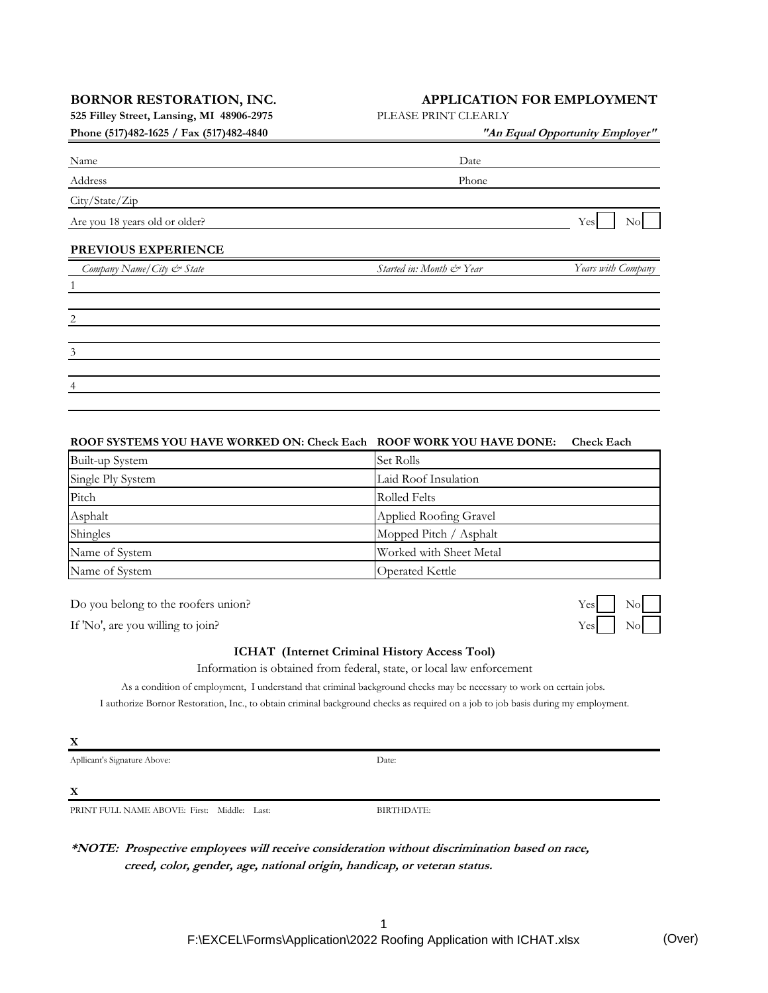**525 Filley Street, Lansing, MI 48906-2975** PLEASE PRINT CLEARLY

|  | Phone (517)482-1625 / Fax (517)482-4840 |  |  |  |  |
|--|-----------------------------------------|--|--|--|--|
|--|-----------------------------------------|--|--|--|--|

## **BORNOR RESTORATION, INC. APPLICATION FOR EMPLOYMENT**

| "An Equal Opportunity Employer" |                    |  |  |
|---------------------------------|--------------------|--|--|
| Date                            |                    |  |  |
| Phone                           |                    |  |  |
|                                 |                    |  |  |
|                                 | Yes<br>No          |  |  |
|                                 |                    |  |  |
| Started in: Month & Year        | Years with Company |  |  |
|                                 |                    |  |  |
|                                 |                    |  |  |
|                                 |                    |  |  |
|                                 |                    |  |  |
|                                 |                    |  |  |
|                                 |                    |  |  |

### **ROOF SYSTEMS YOU HAVE WORKED ON: Check Each ROOF WORK YOU HAVE DONE: Check Each**

| Built-up System                           | Set Rolls              |  |  |
|-------------------------------------------|------------------------|--|--|
| Single Ply System                         | Laid Roof Insulation   |  |  |
| Pitch                                     | Rolled Felts           |  |  |
| Asphalt                                   | Applied Roofing Gravel |  |  |
| Shingles                                  | Mopped Pitch / Asphalt |  |  |
| Name of System<br>Worked with Sheet Metal |                        |  |  |
| Name of System                            | <b>Operated Kettle</b> |  |  |

Do you belong to the roofers union?

If 'No', are you willing to join?

#### **ICHAT (Internet Criminal History Access Tool)**

Information is obtained from federal, state, or local law enforcement

As a condition of employment, I understand that criminal background checks may be necessary to work on certain jobs. I authorize Bornor Restoration, Inc., to obtain criminal background checks as required on a job to job basis during my employment.

Apllicant's Signature Above:

**X**

PRINT FULL NAME ABOVE: First: Middle: Last:

BIRTHDATE:

Date:

**\*NOTE: Prospective employees will receive consideration without discrimination based on race, creed, color, gender, age, national origin, handicap, or veteran status.**

> 1 F:\EXCEL\Forms\Application\2022 Roofing Application with ICHAT.xlsx (Over)